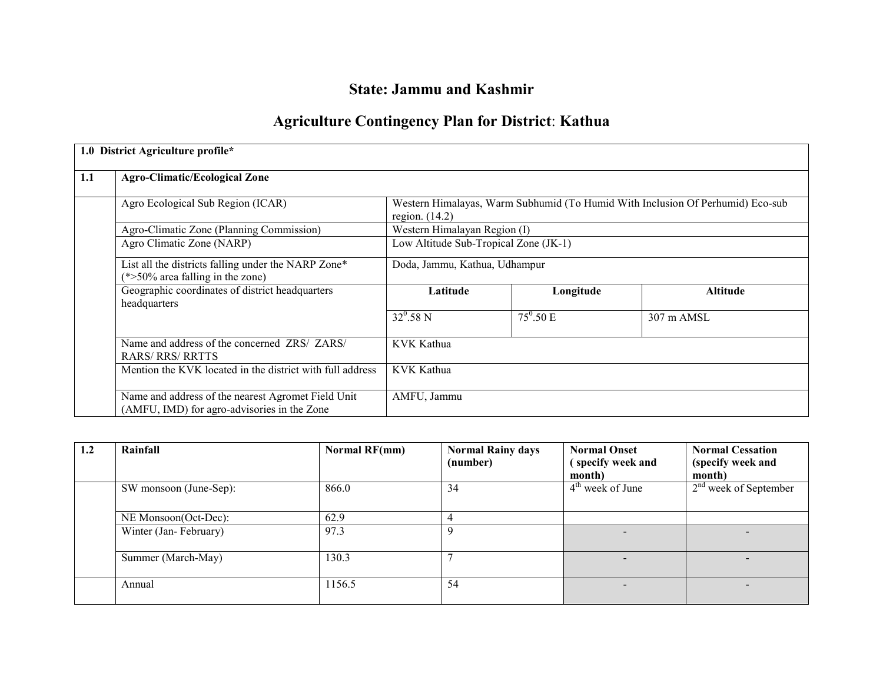# State: Jammu and Kashmir

# Agriculture Contingency Plan for District: Kathua

|     | 1.0 District Agriculture profile*                                                                 |                                       |                               |                                                                                |  |
|-----|---------------------------------------------------------------------------------------------------|---------------------------------------|-------------------------------|--------------------------------------------------------------------------------|--|
| 1.1 | <b>Agro-Climatic/Ecological Zone</b>                                                              |                                       |                               |                                                                                |  |
|     | Agro Ecological Sub Region (ICAR)                                                                 | region. $(14.2)$                      |                               | Western Himalayas, Warm Subhumid (To Humid With Inclusion Of Perhumid) Eco-sub |  |
|     | Agro-Climatic Zone (Planning Commission)                                                          | Western Himalayan Region (I)          |                               |                                                                                |  |
|     | Agro Climatic Zone (NARP)                                                                         | Low Altitude Sub-Tropical Zone (JK-1) |                               |                                                                                |  |
|     | List all the districts falling under the NARP Zone*<br>$(*>50\%$ area falling in the zone)        | Doda, Jammu, Kathua, Udhampur         |                               |                                                                                |  |
|     | Geographic coordinates of district headquarters<br>headquarters                                   | Latitude                              | Longitude                     | Altitude                                                                       |  |
|     |                                                                                                   | $32^0.58 N$                           | $\overline{75}^{\circ}$ .50 E | 307 m AMSL                                                                     |  |
|     | Name and address of the concerned ZRS/ ZARS/<br><b>RARS/ RRS/ RRTTS</b>                           | KVK Kathua                            |                               |                                                                                |  |
|     | Mention the KVK located in the district with full address                                         | <b>KVK Kathua</b>                     |                               |                                                                                |  |
|     | Name and address of the nearest Agromet Field Unit<br>(AMFU, IMD) for agro-advisories in the Zone | AMFU, Jammu                           |                               |                                                                                |  |

| 1.2 | Rainfall               | <b>Normal RF(mm)</b> | <b>Normal Rainy days</b><br>(number) | <b>Normal Onset</b><br>(specify week and<br>month) | <b>Normal Cessation</b><br>(specify week and<br>month) |  |
|-----|------------------------|----------------------|--------------------------------------|----------------------------------------------------|--------------------------------------------------------|--|
|     | SW monsoon (June-Sep): | 866.0                | 34                                   | $4th$ week of June                                 | $2nd$ week of September                                |  |
|     | NE Monsoon(Oct-Dec):   | 62.9                 | 4                                    |                                                    |                                                        |  |
|     | Winter (Jan-February)  | 97.3                 | 9                                    |                                                    |                                                        |  |
|     | Summer (March-May)     | 130.3                |                                      | $\overline{\phantom{a}}$                           | $\overline{\phantom{0}}$                               |  |
|     | Annual                 | 1156.5               | 54                                   | $\overline{\phantom{0}}$                           | $\overline{\phantom{0}}$                               |  |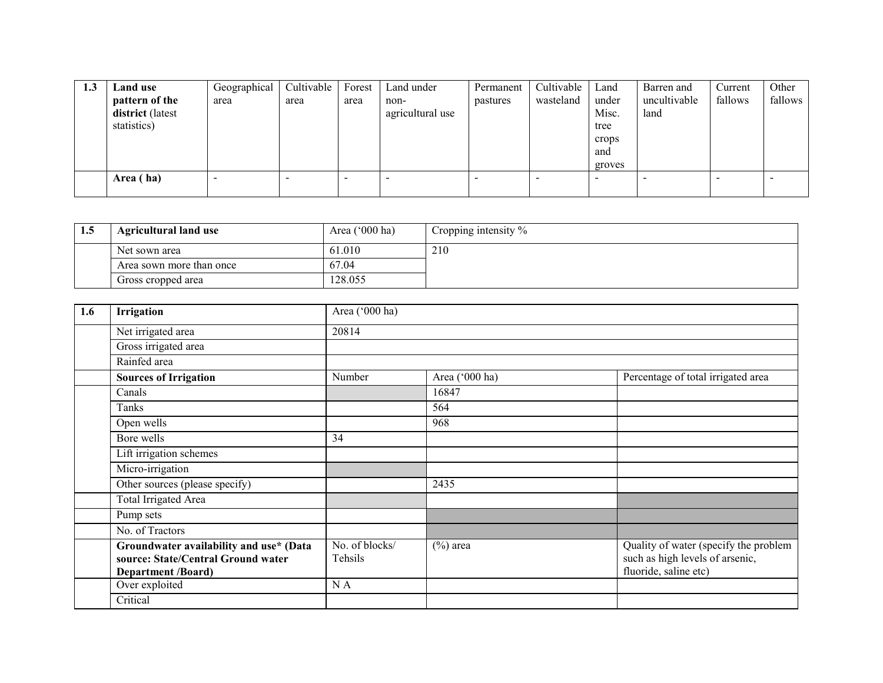| 1.3 | Land use                | Geographical | Cultivable | Forest                   | Land under       | Permanent | Cultivable | Land   | Barren and   | Current | Other   |
|-----|-------------------------|--------------|------------|--------------------------|------------------|-----------|------------|--------|--------------|---------|---------|
|     | pattern of the          | area         | area       | area                     | non-             | pastures  | wasteland  | under  | uncultivable | fallows | fallows |
|     | <b>district</b> (latest |              |            |                          | agricultural use |           |            | Misc.  | land         |         |         |
|     | statistics)             |              |            |                          |                  |           |            | tree   |              |         |         |
|     |                         |              |            |                          |                  |           |            | crops  |              |         |         |
|     |                         |              |            |                          |                  |           |            | and    |              |         |         |
|     |                         |              |            |                          |                  |           |            | groves |              |         |         |
|     | Area (ha)               |              |            | $\overline{\phantom{0}}$ |                  |           |            |        |              |         |         |
|     |                         |              |            |                          |                  |           |            |        |              |         |         |

| 1.5 | <b>Agricultural land use</b> | Area $('000 ha)$ | Cropping intensity % |
|-----|------------------------------|------------------|----------------------|
|     | Net sown area                | 61.010           | 210                  |
|     | Area sown more than once     | 67.04            |                      |
|     | Gross cropped area           | 128.055          |                      |

| 1.6 | Irrigation                                                                                                 | Area ('000 ha)            |                |                                                                                                   |
|-----|------------------------------------------------------------------------------------------------------------|---------------------------|----------------|---------------------------------------------------------------------------------------------------|
|     | Net irrigated area                                                                                         | 20814                     |                |                                                                                                   |
|     | Gross irrigated area                                                                                       |                           |                |                                                                                                   |
|     | Rainfed area                                                                                               |                           |                |                                                                                                   |
|     | <b>Sources of Irrigation</b>                                                                               | Number                    | Area ('000 ha) | Percentage of total irrigated area                                                                |
|     | Canals                                                                                                     |                           | 16847          |                                                                                                   |
|     | Tanks                                                                                                      |                           | 564            |                                                                                                   |
|     | Open wells                                                                                                 |                           | 968            |                                                                                                   |
|     | Bore wells                                                                                                 | 34                        |                |                                                                                                   |
|     | Lift irrigation schemes                                                                                    |                           |                |                                                                                                   |
|     | Micro-irrigation                                                                                           |                           |                |                                                                                                   |
|     | Other sources (please specify)                                                                             |                           | 2435           |                                                                                                   |
|     | <b>Total Irrigated Area</b>                                                                                |                           |                |                                                                                                   |
|     | Pump sets                                                                                                  |                           |                |                                                                                                   |
|     | No. of Tractors                                                                                            |                           |                |                                                                                                   |
|     | Groundwater availability and use* (Data<br>source: State/Central Ground water<br><b>Department /Board)</b> | No. of blocks/<br>Tehsils | $(\%)$ area    | Quality of water (specify the problem<br>such as high levels of arsenic,<br>fluoride, saline etc) |
|     | Over exploited                                                                                             | N A                       |                |                                                                                                   |
|     | Critical                                                                                                   |                           |                |                                                                                                   |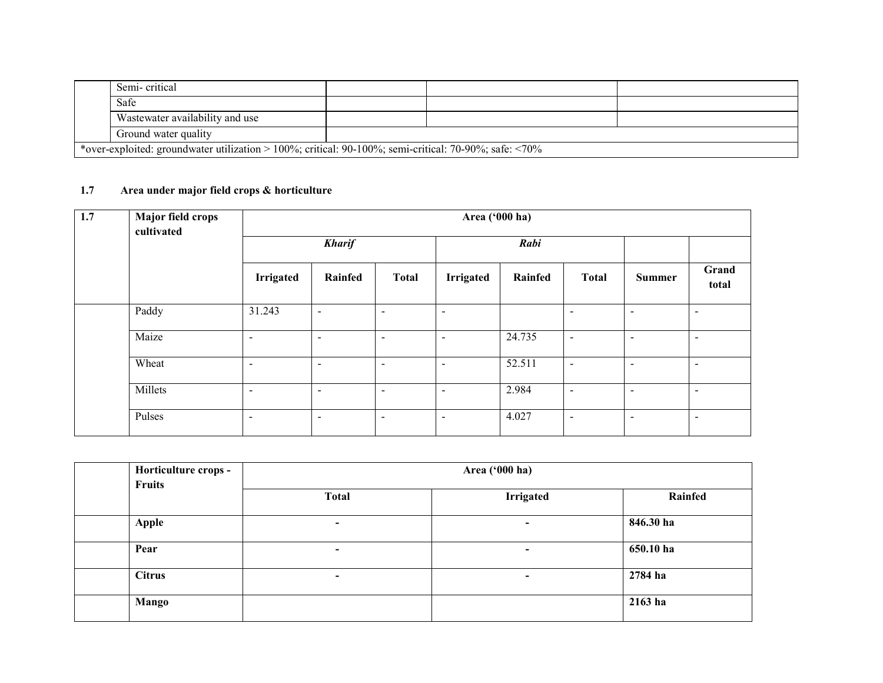| Semi-critical                                                                                                |  |  |
|--------------------------------------------------------------------------------------------------------------|--|--|
| Safe                                                                                                         |  |  |
| Wastewater availability and use                                                                              |  |  |
| Ground water quality                                                                                         |  |  |
| *over-exploited: groundwater utilization > 100%; critical: 90-100%; semi-critical: 70-90%; safe: $\leq 70\%$ |  |  |

# 1.7 Area under major field crops & horticulture

| 1.7 | Major field crops<br>cultivated | Area ('000 ha)           |                          |                |                          |         |                          |                          |                          |  |
|-----|---------------------------------|--------------------------|--------------------------|----------------|--------------------------|---------|--------------------------|--------------------------|--------------------------|--|
|     |                                 |                          | <b>Kharif</b>            |                |                          | Rabi    |                          |                          |                          |  |
|     |                                 | <b>Irrigated</b>         | Rainfed                  | <b>Total</b>   | <b>Irrigated</b>         | Rainfed | <b>Total</b>             | <b>Summer</b>            | Grand<br>total           |  |
|     | Paddy                           | 31.243                   | $\sim$                   | $\sim$         | $\overline{\phantom{a}}$ |         |                          | $\overline{\phantom{a}}$ | $\overline{\phantom{a}}$ |  |
|     | Maize                           | $\sim$                   | $\blacksquare$           | $\sim$         | $\sim$                   | 24.735  | $\blacksquare$           | $\sim$                   | $\sim$                   |  |
|     | Wheat                           | $\blacksquare$           | $\overline{\phantom{0}}$ | $\blacksquare$ | $\overline{\phantom{a}}$ | 52.511  | $\overline{\phantom{a}}$ | $\overline{\phantom{a}}$ | $\overline{\phantom{a}}$ |  |
|     | Millets                         | $\sim$                   | $\overline{\phantom{a}}$ | $\sim$         | $\overline{\phantom{a}}$ | 2.984   | $\overline{\phantom{a}}$ | $\overline{\phantom{a}}$ | $\overline{\phantom{a}}$ |  |
|     | Pulses                          | $\overline{\phantom{0}}$ | $\blacksquare$           | $\blacksquare$ | $\overline{\phantom{a}}$ | 4.027   | $\overline{\phantom{a}}$ | $\overline{\phantom{a}}$ | $\overline{\phantom{a}}$ |  |

| Horticulture crops -<br><b>Fruits</b> | Area ('000 ha)           |                          |           |  |  |  |  |
|---------------------------------------|--------------------------|--------------------------|-----------|--|--|--|--|
|                                       | <b>Total</b>             | <b>Irrigated</b>         | Rainfed   |  |  |  |  |
| <b>Apple</b>                          | $\overline{\phantom{a}}$ | $\overline{\phantom{0}}$ | 846.30 ha |  |  |  |  |
| Pear                                  | $\overline{\phantom{0}}$ | $\overline{\phantom{a}}$ | 650.10 ha |  |  |  |  |
| <b>Citrus</b>                         | $\blacksquare$           | $\blacksquare$           | 2784 ha   |  |  |  |  |
| Mango                                 |                          |                          | 2163 ha   |  |  |  |  |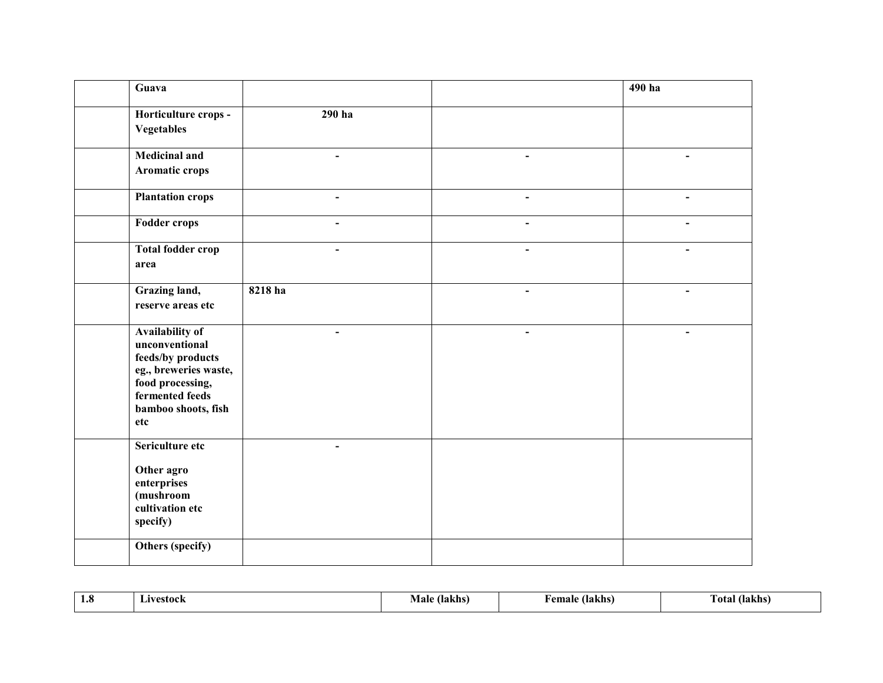| Guava                                                                                                                                                |                          |                | 490 ha                   |
|------------------------------------------------------------------------------------------------------------------------------------------------------|--------------------------|----------------|--------------------------|
| Horticulture crops -<br><b>Vegetables</b>                                                                                                            | $290$ ha                 |                |                          |
| <b>Medicinal and</b><br>Aromatic crops                                                                                                               | $\blacksquare$           |                |                          |
| <b>Plantation crops</b>                                                                                                                              | $\overline{\phantom{a}}$ | $\frac{1}{2}$  | $\blacksquare$           |
| <b>Fodder crops</b>                                                                                                                                  | $\overline{\phantom{a}}$ | $\blacksquare$ | $\blacksquare$           |
| Total fodder crop<br>area                                                                                                                            | $\blacksquare$           | $\blacksquare$ | $\overline{\phantom{a}}$ |
| Grazing land,<br>reserve areas etc                                                                                                                   | 8218 ha                  | ۳              | $\blacksquare$           |
| Availability of<br>unconventional<br>feeds/by products<br>eg., breweries waste,<br>food processing,<br>fermented feeds<br>bamboo shoots, fish<br>etc |                          |                |                          |
| Sericulture etc<br>Other agro<br>enterprises<br>(mushroom<br>cultivation etc<br>specify)                                                             | $\blacksquare$           |                |                          |
| Others (specify)                                                                                                                                     |                          |                |                          |

| 1.0 | avestock | Vlalt | emale   | Fotal   |
|-----|----------|-------|---------|---------|
|     | -415     | lakhs | (lakhs) | (lakhs) |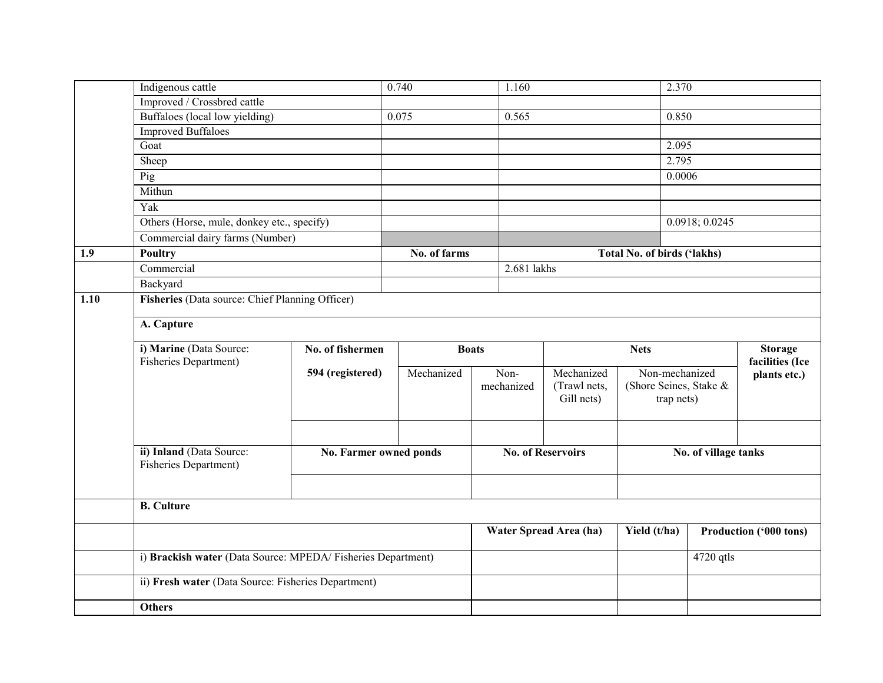|      | Indigenous cattle                                            |                        | 0.740        |              | 1.160                    |                                    | 2.370          |                        |
|------|--------------------------------------------------------------|------------------------|--------------|--------------|--------------------------|------------------------------------|----------------|------------------------|
|      | Improved / Crossbred cattle                                  |                        |              |              |                          |                                    |                |                        |
|      | Buffaloes (local low yielding)                               |                        | 0.075        | 0.565        |                          | 0.850                              |                |                        |
|      | <b>Improved Buffaloes</b>                                    |                        |              |              |                          |                                    |                |                        |
|      | Goat                                                         |                        |              |              |                          | 2.095                              |                |                        |
|      | Sheep                                                        |                        |              |              |                          | 2.795                              |                |                        |
|      | Pig                                                          |                        |              |              |                          | 0.0006                             |                |                        |
|      | Mithun                                                       |                        |              |              |                          |                                    |                |                        |
|      | Yak                                                          |                        |              |              |                          |                                    |                |                        |
|      | Others (Horse, mule, donkey etc., specify)                   |                        |              |              |                          |                                    | 0.0918; 0.0245 |                        |
|      | Commercial dairy farms (Number)                              |                        |              |              |                          |                                    |                |                        |
| 1.9  | Poultry                                                      |                        | No. of farms |              |                          | <b>Total No. of birds ('lakhs)</b> |                |                        |
|      | Commercial                                                   |                        |              | 2.681 lakhs  |                          |                                    |                |                        |
|      | Backyard                                                     |                        |              |              |                          |                                    |                |                        |
| 1.10 | Fisheries (Data source: Chief Planning Officer)              |                        |              |              |                          |                                    |                |                        |
|      |                                                              |                        |              |              |                          |                                    |                |                        |
|      | A. Capture                                                   |                        |              |              |                          |                                    |                |                        |
|      | i) Marine (Data Source:                                      | No. of fishermen       |              | <b>Boats</b> |                          | <b>Nets</b>                        |                | <b>Storage</b>         |
|      | Fisheries Department)                                        |                        |              |              |                          |                                    |                | facilities (Ice        |
|      |                                                              | 594 (registered)       | Mechanized   | Non-         | Mechanized               | Non-mechanized                     |                | plants etc.)           |
|      |                                                              |                        |              | mechanized   | (Trawl nets,             | (Shore Seines, Stake &             |                |                        |
|      |                                                              |                        |              |              | Gill nets)               |                                    | trap nets)     |                        |
|      |                                                              |                        |              |              |                          |                                    |                |                        |
|      |                                                              |                        |              |              |                          |                                    |                |                        |
|      | ii) Inland (Data Source:                                     | No. Farmer owned ponds |              |              | <b>No. of Reservoirs</b> | No. of village tanks               |                |                        |
|      | Fisheries Department)                                        |                        |              |              |                          |                                    |                |                        |
|      |                                                              |                        |              |              |                          |                                    |                |                        |
|      |                                                              |                        |              |              |                          |                                    |                |                        |
|      | <b>B.</b> Culture                                            |                        |              |              |                          |                                    |                |                        |
|      |                                                              |                        |              |              | Water Spread Area (ha)   | Yield (t/ha)                       |                | Production ('000 tons) |
|      | i) Brackish water (Data Source: MPEDA/ Fisheries Department) |                        |              |              |                          |                                    | 4720 qtls      |                        |
|      | ii) Fresh water (Data Source: Fisheries Department)          |                        |              |              |                          |                                    |                |                        |
|      | <b>Others</b>                                                |                        |              |              |                          |                                    |                |                        |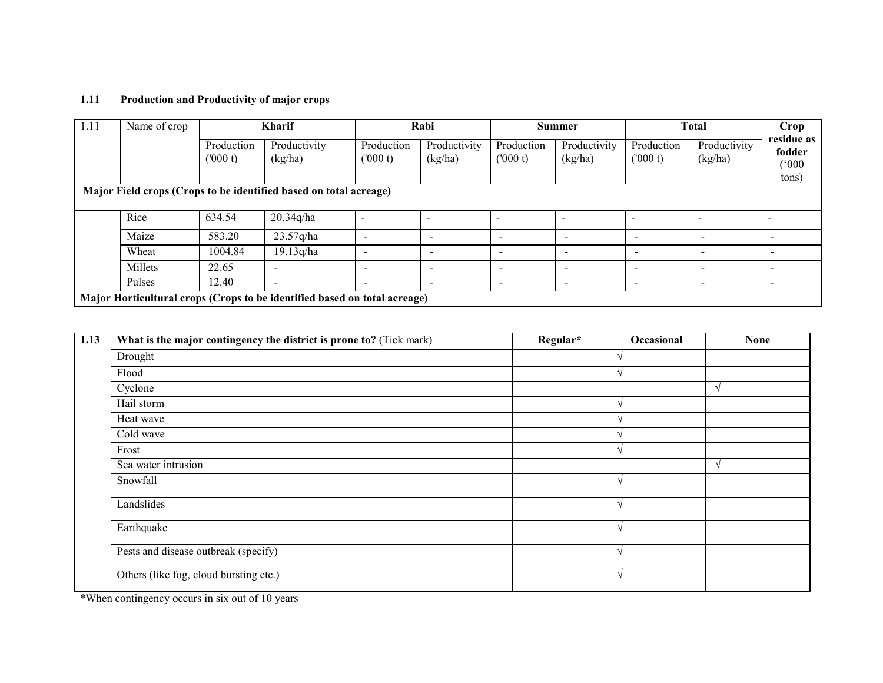#### 1.11 Production and Productivity of major crops

| 1.11                                                              | Name of crop | <b>Kharif</b>         |                                                                           |                          | Rabi                     |                          | <b>Summer</b>            |                          | <b>Total</b>             |                               |
|-------------------------------------------------------------------|--------------|-----------------------|---------------------------------------------------------------------------|--------------------------|--------------------------|--------------------------|--------------------------|--------------------------|--------------------------|-------------------------------|
|                                                                   |              | Production<br>(000 t) | Productivity<br>(kg/ha)                                                   | Production<br>(000 t)    | Productivity<br>(kg/ha)  | Production<br>(000 t)    | Productivity<br>(kg/ha)  | Production<br>(000 t)    | Productivity<br>(kg/ha)  | residue as<br>fodder<br>(000) |
|                                                                   |              |                       |                                                                           |                          |                          |                          |                          |                          |                          | tons)                         |
| Major Field crops (Crops to be identified based on total acreage) |              |                       |                                                                           |                          |                          |                          |                          |                          |                          |                               |
|                                                                   | Rice         | 634.54                | 20.34q/ha                                                                 |                          |                          |                          |                          |                          | $\overline{\phantom{a}}$ |                               |
|                                                                   | Maize        | 583.20                | 23.57q/ha                                                                 |                          |                          | $\overline{\phantom{a}}$ |                          | $\overline{\phantom{a}}$ | $\overline{\phantom{0}}$ | $\overline{\phantom{0}}$      |
|                                                                   | Wheat        | 1004.84               | 19.13q/ha                                                                 | $\overline{\phantom{0}}$ | $\overline{\phantom{a}}$ | $\overline{\phantom{a}}$ | $\overline{\phantom{0}}$ | $\overline{\phantom{a}}$ | . .                      | $\overline{\phantom{0}}$      |
|                                                                   | Millets      | 22.65                 | $\overline{\phantom{a}}$                                                  |                          |                          | $\overline{\phantom{a}}$ | $\overline{\phantom{a}}$ | $\overline{\phantom{a}}$ |                          | $\overline{\phantom{0}}$      |
|                                                                   | Pulses       | 12.40                 | $\overline{\phantom{0}}$                                                  | $\overline{\phantom{0}}$ |                          | $\overline{\phantom{a}}$ |                          | $\overline{\phantom{a}}$ | $\overline{\phantom{a}}$ | $\overline{\phantom{a}}$      |
|                                                                   |              |                       | Major Horticultural crops (Crops to be identified based on total acreage) |                          |                          |                          |                          |                          |                          |                               |

| 1.13 | What is the major contingency the district is prone to? (Tick mark) | Regular* | Occasional        | <b>None</b> |
|------|---------------------------------------------------------------------|----------|-------------------|-------------|
|      | Drought                                                             |          | $\mathbf{\hat{}}$ |             |
|      | Flood                                                               |          |                   |             |
|      | Cyclone                                                             |          |                   |             |
|      | Hail storm                                                          |          | $\mathcal{L}$     |             |
|      | Heat wave                                                           |          | $\lambda$         |             |
|      | Cold wave                                                           |          | $\lambda$         |             |
|      | Frost                                                               |          | $\lambda$         |             |
|      | Sea water intrusion                                                 |          |                   | $\lambda$   |
|      | Snowfall                                                            |          | $\lambda$         |             |
|      | Landslides                                                          |          | $\lambda$         |             |
|      | Earthquake                                                          |          | $\mathbf \Delta$  |             |
|      | Pests and disease outbreak (specify)                                |          | $\Delta$          |             |
|      | Others (like fog, cloud bursting etc.)                              |          | $\Delta$          |             |

\*When contingency occurs in six out of 10 years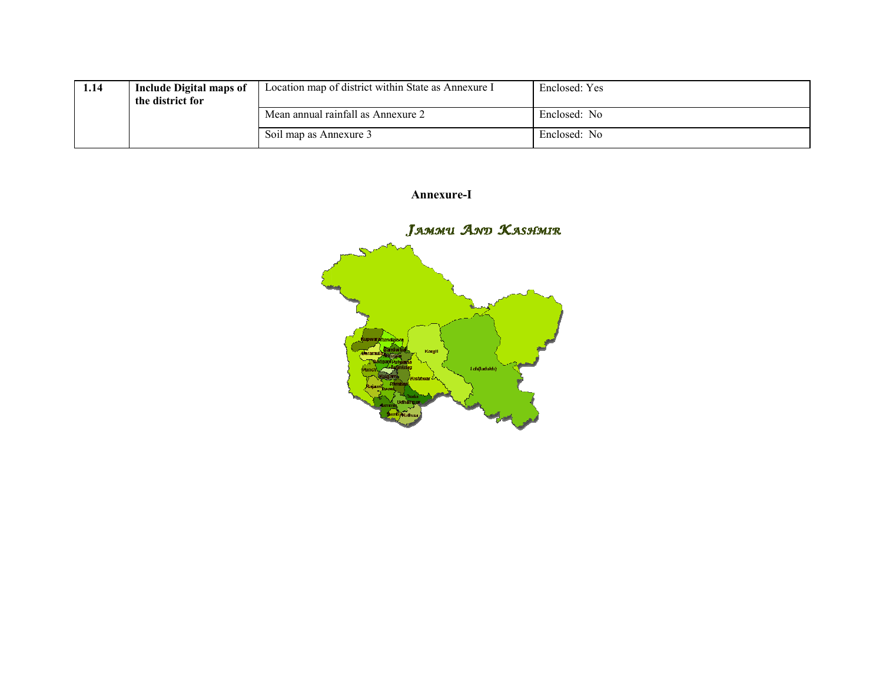| 1.14 | <b>Include Digital maps of</b><br>the district for | Location map of district within State as Annexure I | Enclosed: Yes |
|------|----------------------------------------------------|-----------------------------------------------------|---------------|
|      |                                                    | Mean annual rainfall as Annexure 2                  | Enclosed: No  |
|      |                                                    | Soil map as Annexure 3                              | Enclosed: No  |

Annexure-I

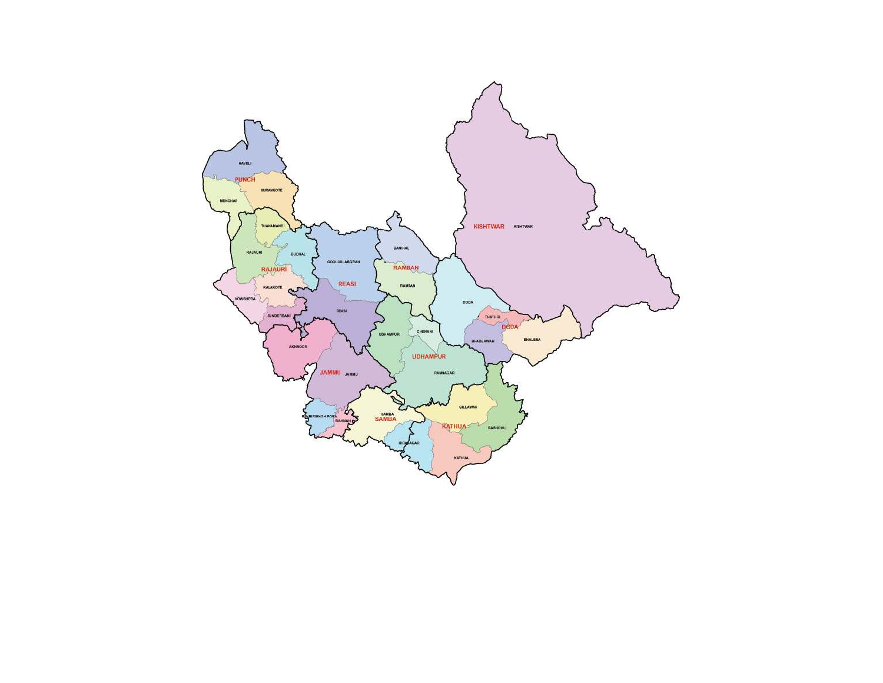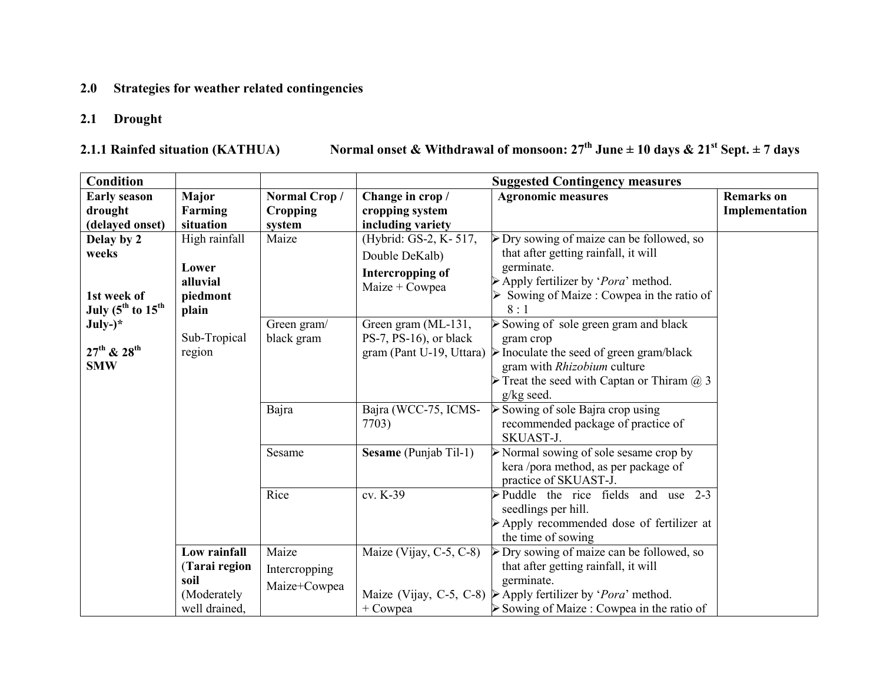# 2.0 Strategies for weather related contingencies

### 2.1 Drought

2.1.1 Rainfed situation (KATHUA)

Normal onset & Withdrawal of monsoon:  $27^{th}$  June  $\pm 10$  days &  $21^{st}$  Sept.  $\pm 7$  days

| <b>Condition</b>                           |                                                                       |                                                | <b>Suggested Contingency measures</b>             |                                                                                                                                                                                                                                                                                                                                                                                                                                             |                   |
|--------------------------------------------|-----------------------------------------------------------------------|------------------------------------------------|---------------------------------------------------|---------------------------------------------------------------------------------------------------------------------------------------------------------------------------------------------------------------------------------------------------------------------------------------------------------------------------------------------------------------------------------------------------------------------------------------------|-------------------|
| <b>Early season</b>                        | Major                                                                 | Normal Crop/                                   | Change in crop /                                  | <b>Agronomic measures</b>                                                                                                                                                                                                                                                                                                                                                                                                                   | <b>Remarks</b> on |
| drought                                    | Farming                                                               | Cropping                                       | cropping system                                   |                                                                                                                                                                                                                                                                                                                                                                                                                                             | Implementation    |
| (delayed onset)                            | situation                                                             | system                                         | including variety                                 |                                                                                                                                                                                                                                                                                                                                                                                                                                             |                   |
| Delay by 2                                 | High rainfall                                                         | Maize                                          | (Hybrid: GS-2, K-517,                             | $\triangleright$ Dry sowing of maize can be followed, so                                                                                                                                                                                                                                                                                                                                                                                    |                   |
| weeks                                      |                                                                       |                                                | Double DeKalb)                                    | that after getting rainfall, it will                                                                                                                                                                                                                                                                                                                                                                                                        |                   |
|                                            | Lower                                                                 |                                                | Intercropping of                                  | germinate.                                                                                                                                                                                                                                                                                                                                                                                                                                  |                   |
|                                            | alluvial                                                              |                                                | $Maize + Cowpea$                                  | $\triangleright$ Apply fertilizer by ' <i>Pora</i> ' method.                                                                                                                                                                                                                                                                                                                                                                                |                   |
| 1st week of                                | piedmont                                                              |                                                |                                                   | Sowing of Maize : Cowpea in the ratio of                                                                                                                                                                                                                                                                                                                                                                                                    |                   |
| July ( $5^{\text{th}}$ to $15^{\text{th}}$ | plain                                                                 |                                                |                                                   | 8:1                                                                                                                                                                                                                                                                                                                                                                                                                                         |                   |
| $July-)*$                                  |                                                                       | Green gram/                                    | Green gram (ML-131,                               | $\triangleright$ Sowing of sole green gram and black                                                                                                                                                                                                                                                                                                                                                                                        |                   |
| $27^{th}$ & $28^{th}$                      | Sub-Tropical                                                          | black gram                                     | $PS-7$ , $PS-16$ ), or black                      | gram crop                                                                                                                                                                                                                                                                                                                                                                                                                                   |                   |
| <b>SMW</b>                                 | region                                                                |                                                |                                                   | gram (Pant U-19, Uttara) $\triangleright$ Inoculate the seed of green gram/black<br>gram with Rhizobium culture                                                                                                                                                                                                                                                                                                                             |                   |
|                                            |                                                                       |                                                |                                                   | Treat the seed with Captan or Thiram $\omega$ 3                                                                                                                                                                                                                                                                                                                                                                                             |                   |
|                                            |                                                                       |                                                |                                                   | $g/kg$ seed.                                                                                                                                                                                                                                                                                                                                                                                                                                |                   |
|                                            |                                                                       | Bajra                                          | Bajra (WCC-75, ICMS-                              | $\triangleright$ Sowing of sole Bajra crop using                                                                                                                                                                                                                                                                                                                                                                                            |                   |
|                                            |                                                                       |                                                | 7703)                                             | recommended package of practice of                                                                                                                                                                                                                                                                                                                                                                                                          |                   |
|                                            |                                                                       |                                                |                                                   | SKUAST-J.                                                                                                                                                                                                                                                                                                                                                                                                                                   |                   |
|                                            |                                                                       | Sesame                                         | Sesame (Punjab Til-1)                             | $\triangleright$ Normal sowing of sole sesame crop by                                                                                                                                                                                                                                                                                                                                                                                       |                   |
|                                            |                                                                       |                                                |                                                   | kera /pora method, as per package of                                                                                                                                                                                                                                                                                                                                                                                                        |                   |
|                                            |                                                                       |                                                |                                                   |                                                                                                                                                                                                                                                                                                                                                                                                                                             |                   |
|                                            |                                                                       |                                                |                                                   |                                                                                                                                                                                                                                                                                                                                                                                                                                             |                   |
|                                            |                                                                       |                                                |                                                   |                                                                                                                                                                                                                                                                                                                                                                                                                                             |                   |
|                                            |                                                                       |                                                |                                                   |                                                                                                                                                                                                                                                                                                                                                                                                                                             |                   |
|                                            |                                                                       |                                                |                                                   |                                                                                                                                                                                                                                                                                                                                                                                                                                             |                   |
|                                            |                                                                       |                                                |                                                   |                                                                                                                                                                                                                                                                                                                                                                                                                                             |                   |
|                                            |                                                                       |                                                |                                                   |                                                                                                                                                                                                                                                                                                                                                                                                                                             |                   |
|                                            |                                                                       |                                                |                                                   |                                                                                                                                                                                                                                                                                                                                                                                                                                             |                   |
|                                            |                                                                       |                                                |                                                   |                                                                                                                                                                                                                                                                                                                                                                                                                                             |                   |
|                                            | Low rainfall<br>(Tarai region<br>soil<br>(Moderately<br>well drained, | Rice<br>Maize<br>Intercropping<br>Maize+Cowpea | cv. K-39<br>Maize (Vijay, C-5, C-8)<br>$+$ Cowpea | practice of SKUAST-J.<br>$\triangleright$ Puddle the rice fields and use 2-3<br>seedlings per hill.<br>Apply recommended dose of fertilizer at<br>the time of sowing<br>$\triangleright$ Dry sowing of maize can be followed, so<br>that after getting rainfall, it will<br>germinate.<br>Maize (Vijay, C-5, C-8) $\triangleright$ Apply fertilizer by ' <i>Pora</i> ' method.<br>$\triangleright$ Sowing of Maize : Cowpea in the ratio of |                   |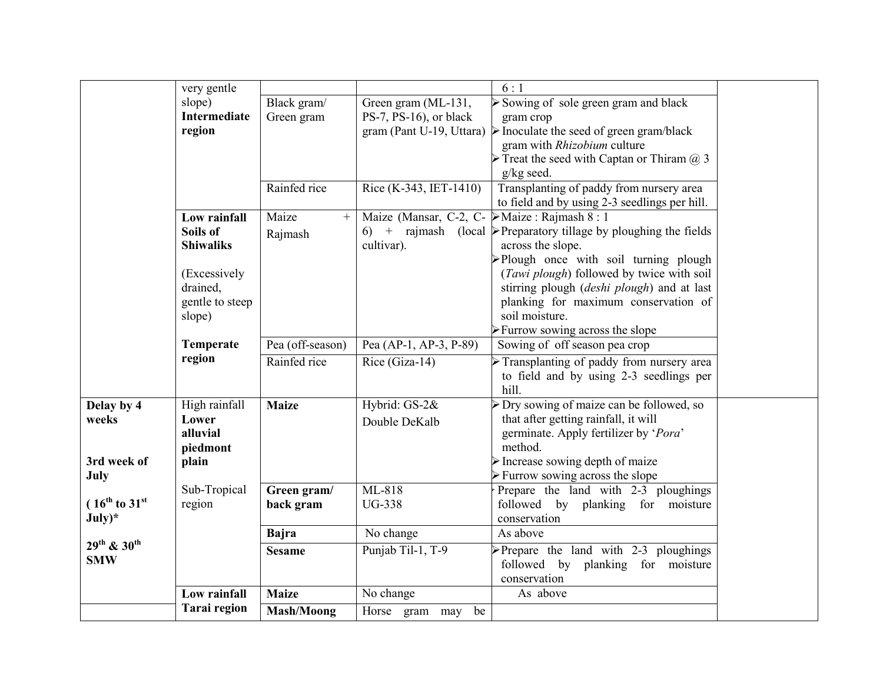|                                     | very gentle         |                   |                                                               | 6:1                                                                              |  |
|-------------------------------------|---------------------|-------------------|---------------------------------------------------------------|----------------------------------------------------------------------------------|--|
|                                     | slope)              | Black gram/       | Green gram (ML-131,                                           | $\triangleright$ Sowing of sole green gram and black                             |  |
|                                     | <b>Intermediate</b> | Green gram        | PS-7, PS-16), or black                                        | gram crop                                                                        |  |
|                                     | region              |                   |                                                               | gram (Pant U-19, Uttara) $\triangleright$ Inoculate the seed of green gram/black |  |
|                                     |                     |                   |                                                               | gram with Rhizobium culture                                                      |  |
|                                     |                     |                   |                                                               | Treat the seed with Captan or Thiram $(a)$ 3                                     |  |
|                                     |                     |                   |                                                               | g/kg seed.                                                                       |  |
|                                     |                     | Rainfed rice      | Rice (K-343, IET-1410)                                        | Transplanting of paddy from nursery area                                         |  |
|                                     |                     |                   |                                                               | to field and by using 2-3 seedlings per hill.                                    |  |
|                                     | Low rainfall        | Maize<br>$^{+}$   | Maize (Mansar, C-2, C- $\triangleright$ Maize : Rajmash 8 : 1 |                                                                                  |  |
|                                     | Soils of            | Rajmash           |                                                               | 6) + rajmash (local $\triangleright$ Preparatory tillage by ploughing the fields |  |
|                                     | <b>Shiwaliks</b>    |                   | cultivar).                                                    | across the slope.                                                                |  |
|                                     |                     |                   |                                                               | >Plough once with soil turning plough                                            |  |
|                                     | (Excessively        |                   |                                                               | (Tawi plough) followed by twice with soil                                        |  |
|                                     | drained,            |                   |                                                               | stirring plough (deshi plough) and at last                                       |  |
|                                     | gentle to steep     |                   |                                                               | planking for maximum conservation of                                             |  |
|                                     | slope)              |                   |                                                               | soil moisture.                                                                   |  |
|                                     |                     |                   |                                                               | $\triangleright$ Furrow sowing across the slope                                  |  |
|                                     | Temperate           | Pea (off-season)  | Pea (AP-1, AP-3, P-89)                                        | Sowing of off season pea crop                                                    |  |
|                                     | region              | Rainfed rice      | Rice (Giza-14)                                                | $\triangleright$ Transplanting of paddy from nursery area                        |  |
|                                     |                     |                   |                                                               | to field and by using 2-3 seedlings per                                          |  |
|                                     |                     |                   |                                                               | hill.                                                                            |  |
| Delay by 4                          | High rainfall       | <b>Maize</b>      | Hybrid: GS-2&                                                 | $\triangleright$ Dry sowing of maize can be followed, so                         |  |
| weeks                               | Lower               |                   | Double DeKalb                                                 | that after getting rainfall, it will                                             |  |
|                                     | alluvial            |                   |                                                               | germinate. Apply fertilizer by 'Pora'                                            |  |
|                                     | piedmont            |                   |                                                               | method.                                                                          |  |
| 3rd week of                         | plain               |                   |                                                               | $\triangleright$ Increase sowing depth of maize                                  |  |
| July                                |                     |                   |                                                               | > Furrow sowing across the slope                                                 |  |
|                                     | Sub-Tropical        | Green gram/       | ML-818                                                        | Prepare the land with 2-3 ploughings                                             |  |
| $(16^{th}$ to $31^{st}$             | region              | back gram         | <b>UG-338</b>                                                 | followed by planking for moisture                                                |  |
| $July)*$                            |                     |                   |                                                               | conservation                                                                     |  |
|                                     |                     | <b>Bajra</b>      | No change                                                     | As above                                                                         |  |
| 29 <sup>th</sup> & 30 <sup>th</sup> |                     | <b>Sesame</b>     | Punjab Til-1, T-9                                             | $\triangleright$ Prepare the land with 2-3 ploughings                            |  |
| <b>SMW</b>                          |                     |                   |                                                               | followed by planking for moisture                                                |  |
|                                     |                     |                   |                                                               | conservation                                                                     |  |
|                                     | Low rainfall        | <b>Maize</b>      | No change                                                     | As above                                                                         |  |
|                                     | <b>Tarai</b> region | <b>Mash/Moong</b> | Horse gram may be                                             |                                                                                  |  |
|                                     |                     |                   |                                                               |                                                                                  |  |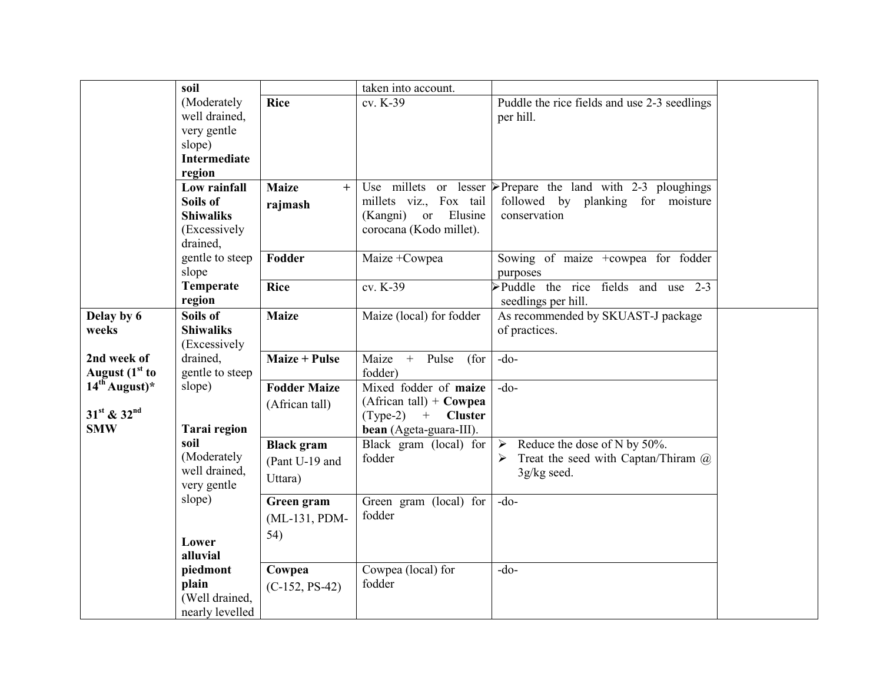|                          | soil                |                      | taken into account.                  |                                                                |  |
|--------------------------|---------------------|----------------------|--------------------------------------|----------------------------------------------------------------|--|
|                          | (Moderately         | <b>Rice</b>          | cv. K-39                             | Puddle the rice fields and use 2-3 seedlings                   |  |
|                          | well drained,       |                      |                                      | per hill.                                                      |  |
|                          | very gentle         |                      |                                      |                                                                |  |
|                          | slope)              |                      |                                      |                                                                |  |
|                          | <b>Intermediate</b> |                      |                                      |                                                                |  |
|                          | region              |                      |                                      |                                                                |  |
|                          | Low rainfall        | <b>Maize</b><br>$+$  |                                      | Use millets or lesser P Prepare the land with $2-3$ ploughings |  |
|                          | Soils of            | rajmash              | millets viz., Fox tail               | followed by planking for moisture                              |  |
|                          | <b>Shiwaliks</b>    |                      | Elusine<br>(Kangni)<br><sub>or</sub> | conservation                                                   |  |
|                          | (Excessively        |                      | corocana (Kodo millet).              |                                                                |  |
|                          | drained,            |                      |                                      |                                                                |  |
|                          | gentle to steep     | Fodder               | Maize +Cowpea                        | Sowing of maize +cowpea for fodder                             |  |
|                          | slope               |                      |                                      | purposes                                                       |  |
|                          | Temperate           | <b>Rice</b>          | cv. K-39                             | $\blacktriangleright$ Puddle the rice fields and use 2-3       |  |
|                          | region              |                      |                                      | seedlings per hill.                                            |  |
| Delay by 6               | Soils of            | <b>Maize</b>         | Maize (local) for fodder             | As recommended by SKUAST-J package                             |  |
| weeks                    | <b>Shiwaliks</b>    |                      |                                      | of practices.                                                  |  |
|                          | (Excessively        |                      |                                      |                                                                |  |
| 2nd week of              | drained,            | <b>Maize + Pulse</b> | Maize +<br>Pulse<br>(for             | $-do-$                                                         |  |
| August $(1st$ to         | gentle to steep     |                      | fodder)                              |                                                                |  |
| $14^{t\bar{h}}$ August)* | slope)              | <b>Fodder Maize</b>  | Mixed fodder of maize                | $-do-$                                                         |  |
|                          |                     | (African tall)       | $(African tall) + Cowpea$            |                                                                |  |
| 31st & 32nd              |                     |                      | $(Type-2)$ + Cluster                 |                                                                |  |
| <b>SMW</b>               | <b>Tarai</b> region |                      | bean (Ageta-guara-III).              |                                                                |  |
|                          | soil                | <b>Black</b> gram    | Black gram (local) for               | Reduce the dose of N by 50%.<br>$\blacktriangleright$          |  |
|                          | (Moderately         | (Pant U-19 and       | fodder                               | Treat the seed with Captan/Thiram $\omega$<br>➤                |  |
|                          | well drained,       | Uttara)              |                                      | 3g/kg seed.                                                    |  |
|                          | very gentle         |                      |                                      |                                                                |  |
|                          | slope)              | Green gram           | Green gram (local) for               | $-do-$                                                         |  |
|                          |                     | (ML-131, PDM-        | fodder                               |                                                                |  |
|                          |                     | 54)                  |                                      |                                                                |  |
|                          | Lower               |                      |                                      |                                                                |  |
|                          | alluvial            |                      |                                      |                                                                |  |
|                          | piedmont            | Cowpea               | Cowpea (local) for                   | $-do-$                                                         |  |
|                          | plain               | $(C-152, PS-42)$     | fodder                               |                                                                |  |
|                          | (Well drained,      |                      |                                      |                                                                |  |
|                          | nearly levelled     |                      |                                      |                                                                |  |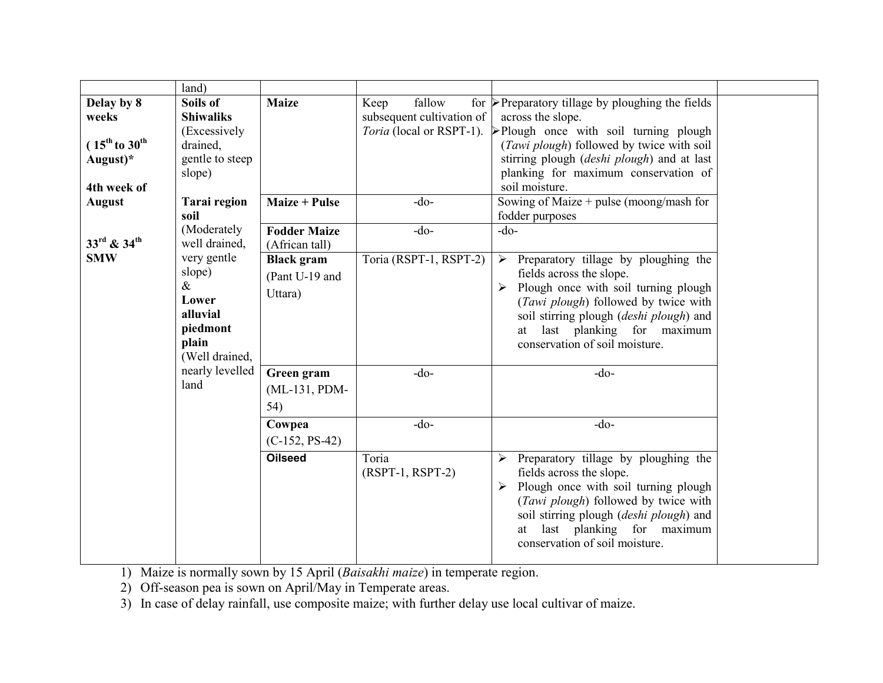|                                                                                         | land)                                                                                                                |                                                |                                             |                                                                                                                                                                                                                                                                                                                    |  |
|-----------------------------------------------------------------------------------------|----------------------------------------------------------------------------------------------------------------------|------------------------------------------------|---------------------------------------------|--------------------------------------------------------------------------------------------------------------------------------------------------------------------------------------------------------------------------------------------------------------------------------------------------------------------|--|
| Delay by 8<br>weeks<br>$(15^{\text{th}}$ to $30^{\text{th}}$<br>August)*<br>4th week of | Soils of<br><b>Shiwaliks</b><br>(Excessively<br>drained,<br>gentle to steep<br>slope)                                | <b>Maize</b>                                   | fallow<br>Keep<br>subsequent cultivation of | for $\triangleright$ Preparatory tillage by ploughing the fields<br>across the slope.<br><i>Toria</i> (local or RSPT-1). Plough once with soil turning plough<br>(Tawi plough) followed by twice with soil<br>stirring plough (deshi plough) and at last<br>planking for maximum conservation of<br>soil moisture. |  |
| <b>August</b>                                                                           | <b>Tarai region</b>                                                                                                  | <b>Maize + Pulse</b>                           | $-do-$                                      | Sowing of Maize + pulse (moong/mash for                                                                                                                                                                                                                                                                            |  |
| 33rd & 34th                                                                             | soil<br>(Moderately<br>well drained,                                                                                 | <b>Fodder Maize</b><br>(African tall)          | $-do-$                                      | fodder purposes<br>$-do-$                                                                                                                                                                                                                                                                                          |  |
| <b>SMW</b>                                                                              | very gentle<br>slope)<br>$\&$<br>Lower<br>alluvial<br>piedmont<br>plain<br>(Well drained,<br>nearly levelled<br>land | <b>Black</b> gram<br>(Pant U-19 and<br>Uttara) | Toria (RSPT-1, RSPT-2)                      | Preparatory tillage by ploughing the<br>$\blacktriangleright$<br>fields across the slope.<br>Plough once with soil turning plough<br>(Tawi plough) followed by twice with<br>soil stirring plough (deshi plough) and<br>at last planking for maximum<br>conservation of soil moisture.                             |  |
|                                                                                         |                                                                                                                      | Green gram<br>(ML-131, PDM-<br>54)             | $-do-$                                      | $-do-$                                                                                                                                                                                                                                                                                                             |  |
|                                                                                         |                                                                                                                      | Cowpea<br>$(C-152, PS-42)$                     | $-do-$                                      | $-do-$                                                                                                                                                                                                                                                                                                             |  |
|                                                                                         |                                                                                                                      | <b>Oilseed</b>                                 | Toria<br>$(RSPT-1, RSPT-2)$                 | $\triangleright$ Preparatory tillage by ploughing the<br>fields across the slope.<br>Plough once with soil turning plough<br>➤<br>(Tawi plough) followed by twice with<br>soil stirring plough (deshi plough) and<br>at last planking for maximum<br>conservation of soil moisture.                                |  |

1) Maize is normally sown by 15 April (*Baisakhi maize*) in temperate region.

2) Off-season pea is sown on April/May in Temperate areas.

3) In case of delay rainfall, use composite maize; with further delay use local cultivar of maize.